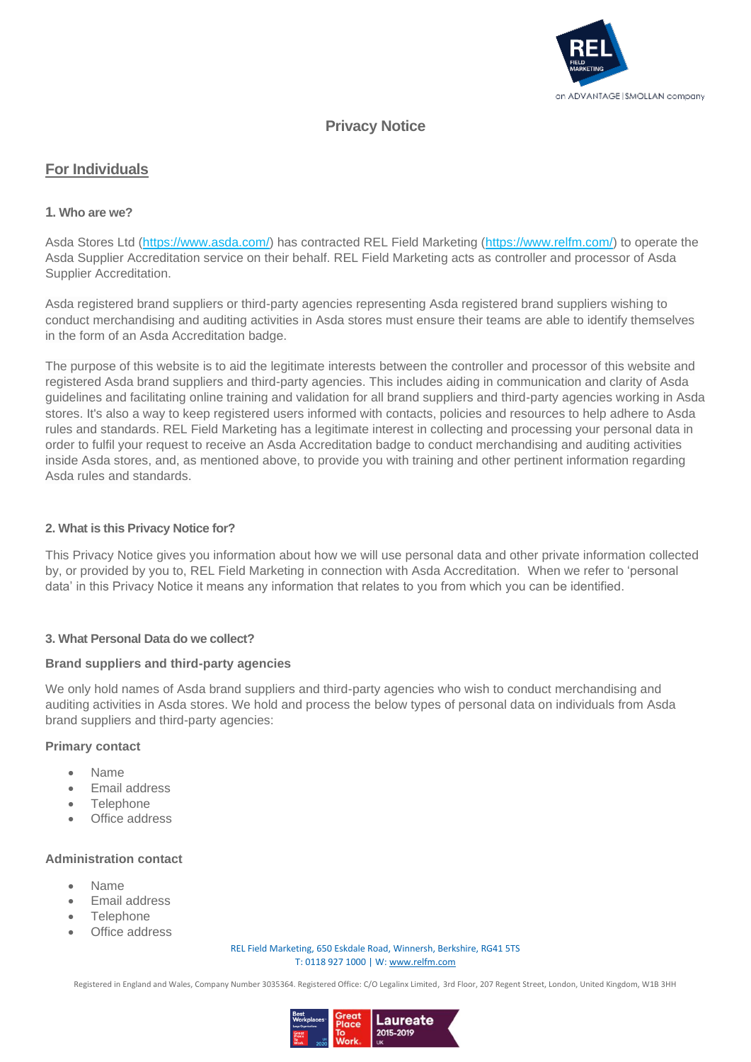

# **Privacy Notice**

## **For Individuals**

## **1. Who are we?**

Asda Stores Ltd [\(https://www.asda.com/\)](https://www.asda.com/) has contracted REL Field Marketing [\(https://www.relfm.com/\)](https://www.relfm.com/) to operate the Asda Supplier Accreditation service on their behalf. REL Field Marketing acts as controller and processor of Asda Supplier Accreditation.

Asda registered brand suppliers or third-party agencies representing Asda registered brand suppliers wishing to conduct merchandising and auditing activities in Asda stores must ensure their teams are able to identify themselves in the form of an Asda Accreditation badge.

The purpose of this website is to aid the legitimate interests between the controller and processor of this website and registered Asda brand suppliers and third-party agencies. This includes aiding in communication and clarity of Asda guidelines and facilitating online training and validation for all brand suppliers and third-party agencies working in Asda stores. It's also a way to keep registered users informed with contacts, policies and resources to help adhere to Asda rules and standards. REL Field Marketing has a legitimate interest in collecting and processing your personal data in order to fulfil your request to receive an Asda Accreditation badge to conduct merchandising and auditing activities inside Asda stores, and, as mentioned above, to provide you with training and other pertinent information regarding Asda rules and standards.

### **2. What is this Privacy Notice for?**

This Privacy Notice gives you information about how we will use personal data and other private information collected by, or provided by you to, REL Field Marketing in connection with Asda Accreditation. When we refer to 'personal data' in this Privacy Notice it means any information that relates to you from which you can be identified.

### **3. What Personal Data do we collect?**

#### **Brand suppliers and third-party agencies**

We only hold names of Asda brand suppliers and third-party agencies who wish to conduct merchandising and auditing activities in Asda stores. We hold and process the below types of personal data on individuals from Asda brand suppliers and third-party agencies:

#### **Primary contact**

- Name
- Email address
- Telephone
- Office address

#### **Administration contact**

- Name
- Email address
- **Telephone**
- Office address

REL Field Marketing, 650 Eskdale Road, Winnersh, Berkshire, RG41 5TS T: 0118 927 1000 | W[: www.relfm.com](https://www.relfm.com/)

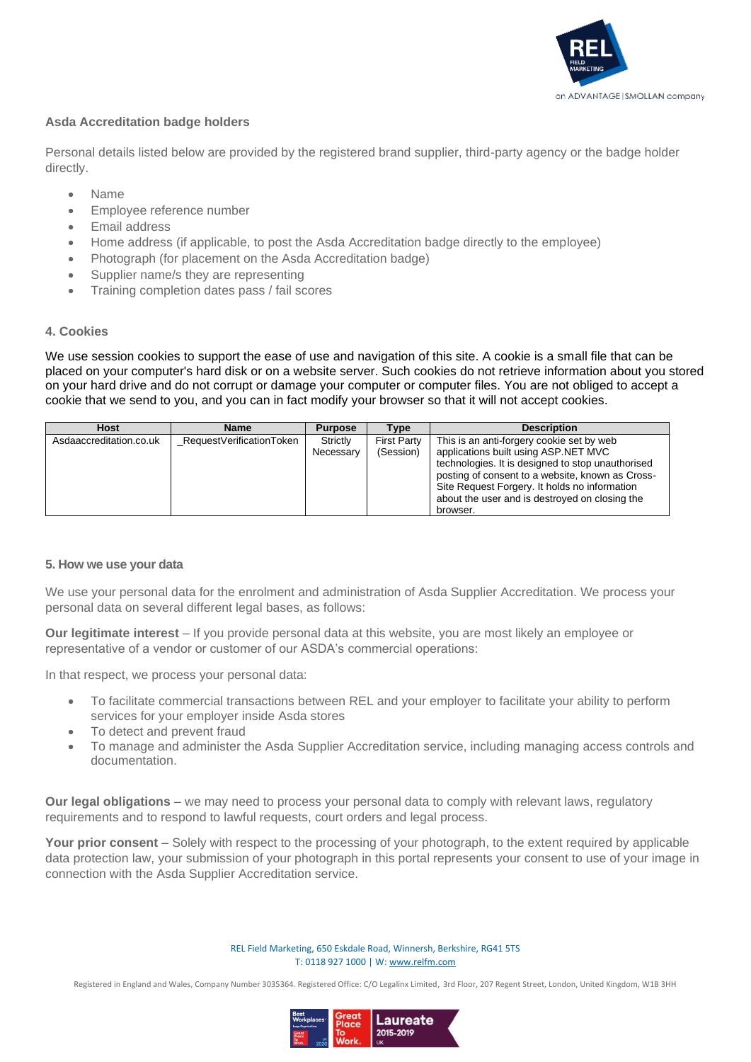

## **Asda Accreditation badge holders**

Personal details listed below are provided by the registered brand supplier, third-party agency or the badge holder directly.

- Name
- Employee reference number
- Email address
- Home address (if applicable, to post the Asda Accreditation badge directly to the employee)
- Photograph (for placement on the Asda Accreditation badge)
- Supplier name/s they are representing
- Training completion dates pass / fail scores

### **4. Cookies**

We use session cookies to support the ease of use and navigation of this site. A cookie is a small file that can be placed on your computer's hard disk or on a website server. Such cookies do not retrieve information about you stored on your hard drive and do not corrupt or damage your computer or computer files. You are not obliged to accept a cookie that we send to you, and you can in fact modify your browser so that it will not accept cookies.

| <b>Host</b>             | <b>Name</b>              | <b>Purpose</b> | <b>Type</b>        | <b>Description</b>                                |
|-------------------------|--------------------------|----------------|--------------------|---------------------------------------------------|
| Asdaaccreditation.co.uk | RequestVerificationToken | Strictly       | <b>First Party</b> | This is an anti-forgery cookie set by web         |
|                         |                          | Necessary      | (Session)          | applications built using ASP.NET MVC              |
|                         |                          |                |                    | technologies. It is designed to stop unauthorised |
|                         |                          |                |                    | posting of consent to a website, known as Cross-  |
|                         |                          |                |                    | Site Request Forgery. It holds no information     |
|                         |                          |                |                    | about the user and is destroyed on closing the    |
|                         |                          |                |                    | browser.                                          |

### **5. How we use your data**

We use your personal data for the enrolment and administration of Asda Supplier Accreditation. We process your personal data on several different legal bases, as follows:

**Our legitimate interest** – If you provide personal data at this website, you are most likely an employee or representative of a vendor or customer of our ASDA's commercial operations:

In that respect, we process your personal data:

- To facilitate commercial transactions between REL and your employer to facilitate your ability to perform services for your employer inside Asda stores
- To detect and prevent fraud
- To manage and administer the Asda Supplier Accreditation service, including managing access controls and documentation.

**Our legal obligations** – we may need to process your personal data to comply with relevant laws, regulatory requirements and to respond to lawful requests, court orders and legal process.

**Your prior consent** – Solely with respect to the processing of your photograph, to the extent required by applicable data protection law, your submission of your photograph in this portal represents your consent to use of your image in connection with the Asda Supplier Accreditation service.

> REL Field Marketing, 650 Eskdale Road, Winnersh, Berkshire, RG41 5TS T: 0118 927 1000 | W[: www.relfm.com](https://www.relfm.com/)

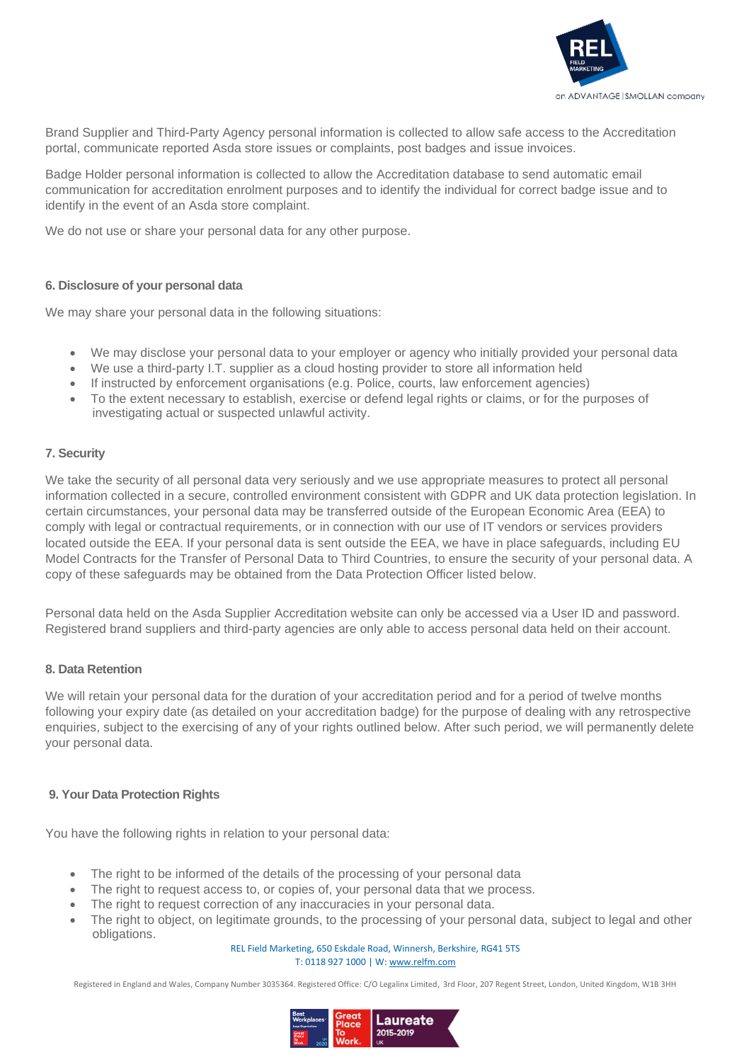

Brand Supplier and Third-Party Agency personal information is collected to allow safe access to the Accreditation portal, communicate reported Asda store issues or complaints, post badges and issue invoices.

Badge Holder personal information is collected to allow the Accreditation database to send automatic email communication for accreditation enrolment purposes and to identify the individual for correct badge issue and to identify in the event of an Asda store complaint.

We do not use or share your personal data for any other purpose.

### **6. Disclosure of your personal data**

We may share your personal data in the following situations:

- We may disclose your personal data to your employer or agency who initially provided your personal data
- We use a third-party I.T. supplier as a cloud hosting provider to store all information held
- If instructed by enforcement organisations (e.g. Police, courts, law enforcement agencies)
- To the extent necessary to establish, exercise or defend legal rights or claims, or for the purposes of investigating actual or suspected unlawful activity.

### **7. Security**

We take the security of all personal data very seriously and we use appropriate measures to protect all personal information collected in a secure, controlled environment consistent with GDPR and UK data protection legislation. In certain circumstances, your personal data may be transferred outside of the European Economic Area (EEA) to comply with legal or contractual requirements, or in connection with our use of IT vendors or services providers located outside the EEA. If your personal data is sent outside the EEA, we have in place safeguards, including EU Model Contracts for the Transfer of Personal Data to Third Countries, to ensure the security of your personal data. A copy of these safeguards may be obtained from the Data Protection Officer listed below.

Personal data held on the Asda Supplier Accreditation website can only be accessed via a User ID and password. Registered brand suppliers and third-party agencies are only able to access personal data held on their account.

#### **8. Data Retention**

We will retain your personal data for the duration of your accreditation period and for a period of twelve months following your expiry date (as detailed on your accreditation badge) for the purpose of dealing with any retrospective enquiries, subject to the exercising of any of your rights outlined below. After such period, we will permanently delete your personal data.

#### **9. Your Data Protection Rights**

You have the following rights in relation to your personal data:

- The right to be informed of the details of the processing of your personal data
- The right to request access to, or copies of, your personal data that we process.
- The right to request correction of any inaccuracies in your personal data.
- The right to object, on legitimate grounds, to the processing of your personal data, subject to legal and other obligations.

#### REL Field Marketing, 650 Eskdale Road, Winnersh, Berkshire, RG41 5TS T: 0118 927 1000 | W[: www.relfm.com](https://www.relfm.com/)